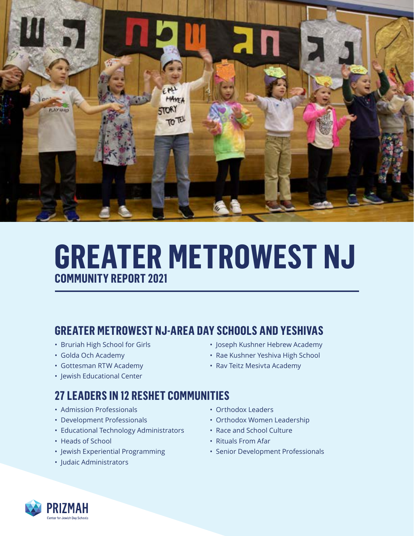

# **GREATER METROWEST NJ COMMUNITY REPORT 2021**

### **GREATER METROWEST NJ-AREA DAY SCHOOLS AND YESHIVAS**

- Bruriah High School for Girls
- Golda Och Academy
- Gottesman RTW Academy
- Jewish Educational Center

#### **27 LEADERS IN 12 RESHET COMMUNITIES**

- Admission Professionals
- Development Professionals
- Educational Technology Administrators
- Heads of School
- Jewish Experiential Programming
- Judaic Administrators
- Joseph Kushner Hebrew Academy
- Rae Kushner Yeshiva High School
- Rav Teitz Mesivta Academy
- Orthodox Leaders
- Orthodox Women Leadership
- Race and School Culture
- Rituals From Afar
- Senior Development Professionals